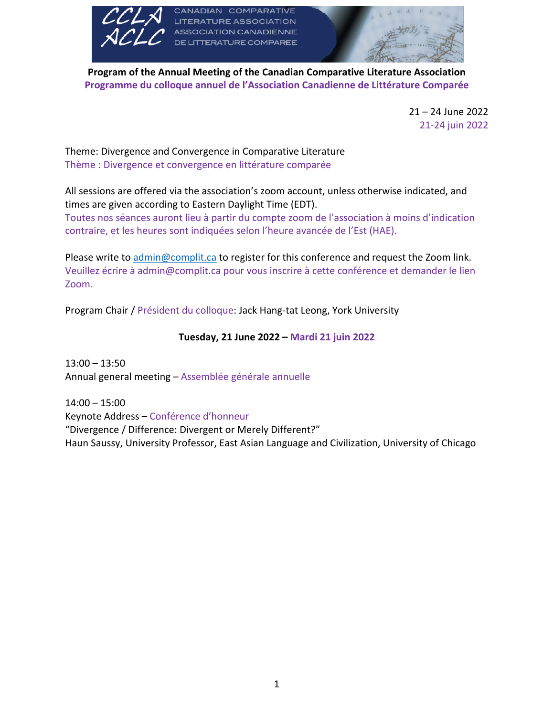

ION CANADIENNE **TERATURE COMPAREE** 



**Program of the Annual Meeting of the Canadian Comparative Literature Association Programme du colloque annuel de l'Association Canadienne de Littérature Comparée**

> 21 – 24 June 2022 21-24 juin 2022

Theme: Divergence and Convergence in Comparative Literature Thème : Divergence et convergence en littérature comparée

All sessions are offered via the association's zoom account, unless otherwise indicated, and times are given according to Eastern Daylight Time (EDT).

Toutes nos séances auront lieu à partir du compte zoom de l'association à moins d'indication contraire, et les heures sont indiquées selon l'heure avancée de l'Est (HAE).

Please write to admin@complit.ca to register for this conference and request the Zoom link. Veuillez écrire à admin@complit.ca pour vous inscrire à cette conférence et demander le lien Zoom.

Program Chair / Président du colloque: Jack Hang-tat Leong, York University

**Tuesday, 21 June 2022 – Mardi 21 juin 2022**

 $13:00 - 13:50$ Annual general meeting – Assemblée générale annuelle

14:00 – 15:00 Keynote Address – Conférence d'honneur "Divergence / Difference: Divergent or Merely Different?" Haun Saussy, University Professor, East Asian Language and Civilization, University of Chicago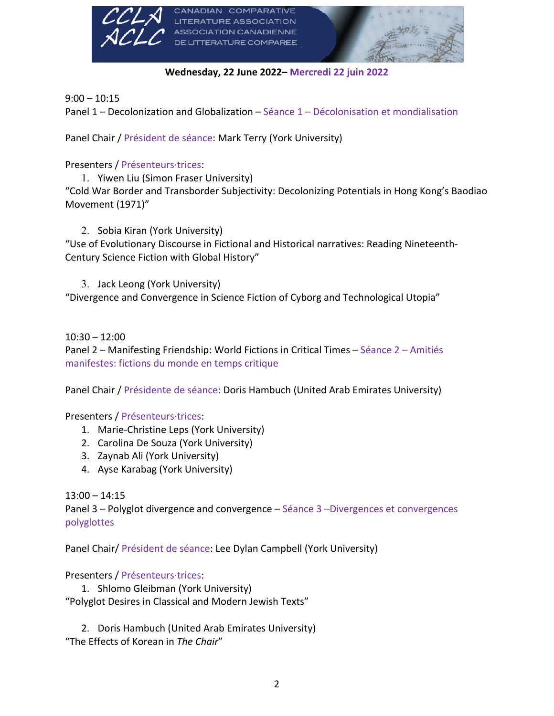

**Wednesday, 22 June 2022– Mercredi 22 juin 2022**

 $9:00 - 10:15$ 

Panel 1 – Decolonization and Globalization – Séance 1 – Décolonisation et mondialisation

Panel Chair / Président de séance: Mark Terry (York University)

Presenters / Présenteurs·trices:

1. Yiwen Liu (Simon Fraser University) "Cold War Border and Transborder Subjectivity: Decolonizing Potentials in Hong Kong's Baodiao Movement (1971)"

2. Sobia Kiran (York University) "Use of Evolutionary Discourse in Fictional and Historical narratives: Reading Nineteenth-Century Science Fiction with Global History"

3. Jack Leong (York University) "Divergence and Convergence in Science Fiction of Cyborg and Technological Utopia"

10:30 – 12:00

Panel 2 – Manifesting Friendship: World Fictions in Critical Times – Séance 2 – Amitiés manifestes: fictions du monde en temps critique

Panel Chair / Présidente de séance: Doris Hambuch (United Arab Emirates University)

Presenters / Présenteurs·trices:

- 1. Marie-Christine Leps (York University)
- 2. Carolina De Souza (York University)
- 3. Zaynab Ali (York University)
- 4. Ayse Karabag (York University)

 $13:00 - 14:15$ 

Panel 3 – Polyglot divergence and convergence – Séance 3 –Divergences et convergences polyglottes

Panel Chair/ Président de séance: Lee Dylan Campbell (York University)

Presenters / Présenteurs·trices:

1. Shlomo Gleibman (York University) "Polyglot Desires in Classical and Modern Jewish Texts"

2. Doris Hambuch (United Arab Emirates University) "The Effects of Korean in *The Chair*"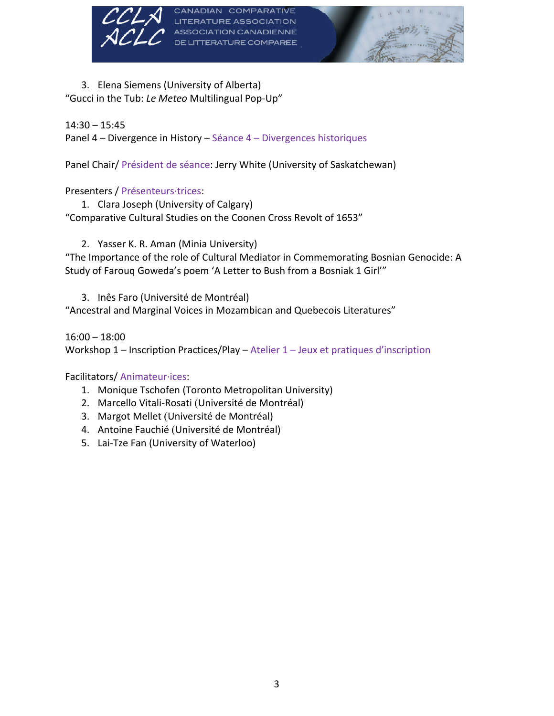



3. Elena Siemens (University of Alberta) "Gucci in the Tub: *Le Meteo* Multilingual Pop-Up"

## 14:30 – 15:45

Panel 4 – Divergence in History – Séance 4 – Divergences historiques

Panel Chair/ Président de séance: Jerry White (University of Saskatchewan)

**TERATURE COMPAREE** 

## Presenters / Présenteurs·trices:

1. Clara Joseph (University of Calgary) "Comparative Cultural Studies on the Coonen Cross Revolt of 1653"

2. Yasser K. R. Aman (Minia University)

"The Importance of the role of Cultural Mediator in Commemorating Bosnian Genocide: A Study of Farouq Goweda's poem 'A Letter to Bush from a Bosniak 1 Girl'"

3. Inês Faro (Université de Montréal) "Ancestral and Marginal Voices in Mozambican and Quebecois Literatures"

16:00 – 18:00 Workshop 1 – Inscription Practices/Play – Atelier 1 – Jeux et pratiques d'inscription

## Facilitators/ Animateur·ices:

- 1. Monique Tschofen (Toronto Metropolitan University)
- 2. Marcello Vitali-Rosati (Université de Montréal)
- 3. Margot Mellet (Université de Montréal)
- 4. Antoine Fauchié (Université de Montréal)
- 5. Lai-Tze Fan (University of Waterloo)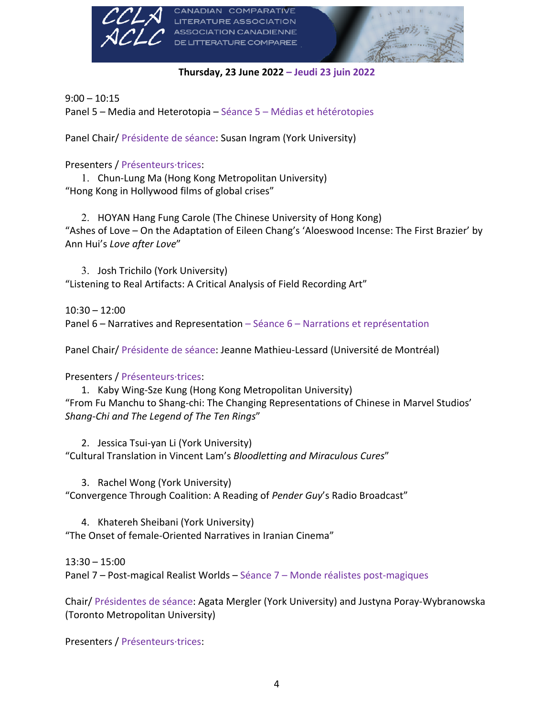

**Thursday, 23 June 2022 – Jeudi 23 juin 2022**

 $9:00 - 10:15$ Panel 5 – Media and Heterotopia – Séance 5 – Médias et hétérotopies

Panel Chair/ Présidente de séance: Susan Ingram (York University)

Presenters / Présenteurs·trices:

1. Chun-Lung Ma (Hong Kong Metropolitan University) "Hong Kong in Hollywood films of global crises"

2. HOYAN Hang Fung Carole (The Chinese University of Hong Kong) "Ashes of Love – On the Adaptation of Eileen Chang's 'Aloeswood Incense: The First Brazier' by Ann Hui's *Love after Love*"

3. Josh Trichilo (York University) "Listening to Real Artifacts: A Critical Analysis of Field Recording Art"

 $10:30 - 12:00$ Panel 6 – Narratives and Representation – Séance 6 – Narrations et représentation

Panel Chair/ Présidente de séance: Jeanne Mathieu-Lessard (Université de Montréal)

Presenters / Présenteurs·trices:

1. Kaby Wing-Sze Kung (Hong Kong Metropolitan University) "From Fu Manchu to Shang-chi: The Changing Representations of Chinese in Marvel Studios' *Shang-Chi and The Legend of The Ten Rings*"

2. Jessica Tsui-yan Li (York University) "Cultural Translation in Vincent Lam's *Bloodletting and Miraculous Cures*"

3. Rachel Wong (York University) "Convergence Through Coalition: A Reading of *Pender Guy*'s Radio Broadcast"

4. Khatereh Sheibani (York University) "The Onset of female-Oriented Narratives in Iranian Cinema"

13:30 – 15:00 Panel 7 – Post-magical Realist Worlds – Séance 7 – Monde réalistes post-magiques

Chair/ Présidentes de séance: Agata Mergler (York University) and Justyna Poray-Wybranowska (Toronto Metropolitan University)

Presenters / Présenteurs·trices: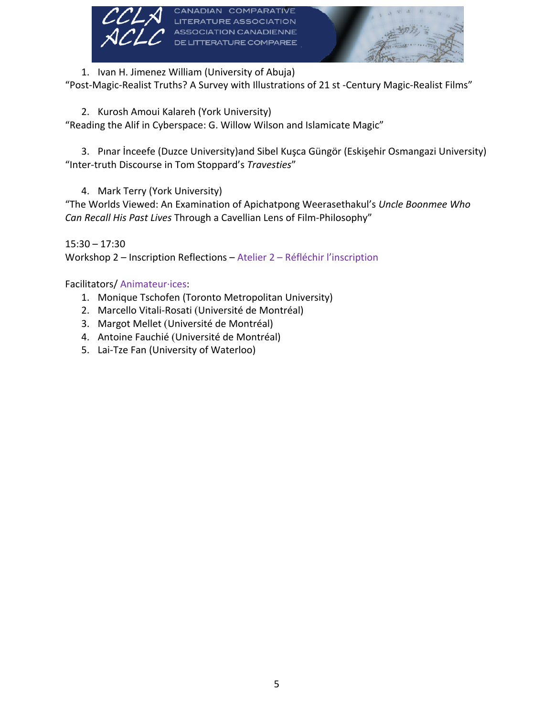

1. Ivan H. Jimenez William (University of Abuja)

"Post-Magic-Realist Truths? A Survey with Illustrations of 21 st -Century Magic-Realist Films"

2. Kurosh Amoui Kalareh (York University)

"Reading the Alif in Cyberspace: G. Willow Wilson and Islamicate Magic"

3. Pınar İnceefe (Duzce University)and Sibel Kuşca Güngör (Eskişehir Osmangazi University) "Inter-truth Discourse in Tom Stoppard's *Travesties*"

4. Mark Terry (York University)

"The Worlds Viewed: An Examination of Apichatpong Weerasethakul's *Uncle Boonmee Who Can Recall His Past Lives* Through a Cavellian Lens of Film-Philosophy"

15:30 – 17:30 Workshop 2 – Inscription Reflections – Atelier 2 – Réfléchir l'inscription

Facilitators/ Animateur·ices:

- 1. Monique Tschofen (Toronto Metropolitan University)
- 2. Marcello Vitali-Rosati (Université de Montréal)
- 3. Margot Mellet (Université de Montréal)
- 4. Antoine Fauchié (Université de Montréal)
- 5. Lai-Tze Fan (University of Waterloo)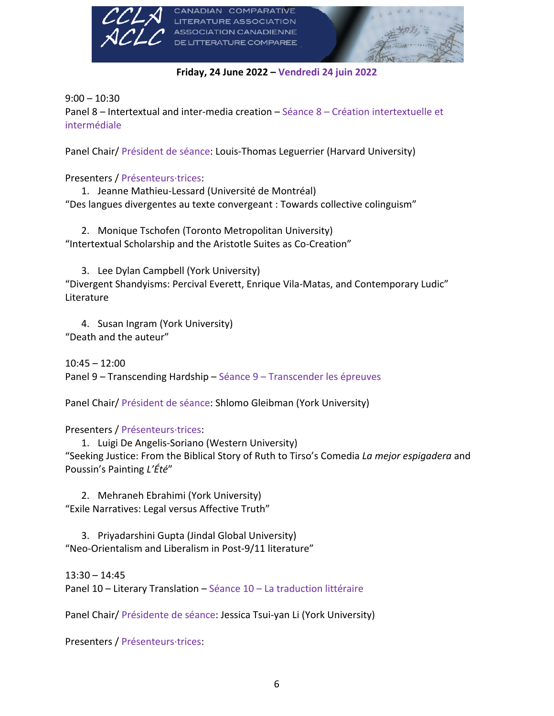

**Friday, 24 June 2022 – Vendredi 24 juin 2022**

 $9:00 - 10:30$ 

Panel 8 – Intertextual and inter-media creation – Séance 8 – Création intertextuelle et intermédiale

Panel Chair/ Président de séance: Louis-Thomas Leguerrier (Harvard University)

Presenters / Présenteurs·trices:

1. Jeanne Mathieu-Lessard (Université de Montréal) "Des langues divergentes au texte convergeant : Towards collective colinguism"

2. Monique Tschofen (Toronto Metropolitan University) "Intertextual Scholarship and the Aristotle Suites as Co-Creation"

3. Lee Dylan Campbell (York University)

"Divergent Shandyisms: Percival Everett, Enrique Vila-Matas, and Contemporary Ludic" Literature

4. Susan Ingram (York University) "Death and the auteur"

 $10:45 - 12:00$ Panel 9 – Transcending Hardship – Séance 9 – Transcender les épreuves

Panel Chair/ Président de séance: Shlomo Gleibman (York University)

Presenters / Présenteurs·trices:

1. Luigi De Angelis-Soriano (Western University) "Seeking Justice: From the Biblical Story of Ruth to Tirso's Comedia *La mejor espigadera* and Poussin's Painting *L'Été*"

2. Mehraneh Ebrahimi (York University) "Exile Narratives: Legal versus Affective Truth"

3. Priyadarshini Gupta (Jindal Global University) "Neo-Orientalism and Liberalism in Post-9/11 literature"

13:30 – 14:45 Panel 10 – Literary Translation – Séance 10 – La traduction littéraire

Panel Chair/ Présidente de séance: Jessica Tsui-yan Li (York University)

Presenters / Présenteurs·trices: